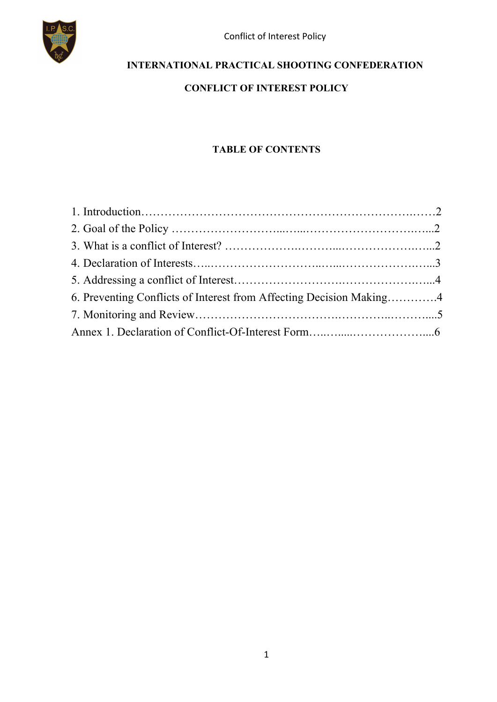

### **INTERNATIONAL PRACTICAL SHOOTING CONFEDERATION**

#### **CONFLICT OF INTEREST POLICY**

#### **TABLE OF CONTENTS**

| 6. Preventing Conflicts of Interest from Affecting Decision Making4 |  |
|---------------------------------------------------------------------|--|
|                                                                     |  |
|                                                                     |  |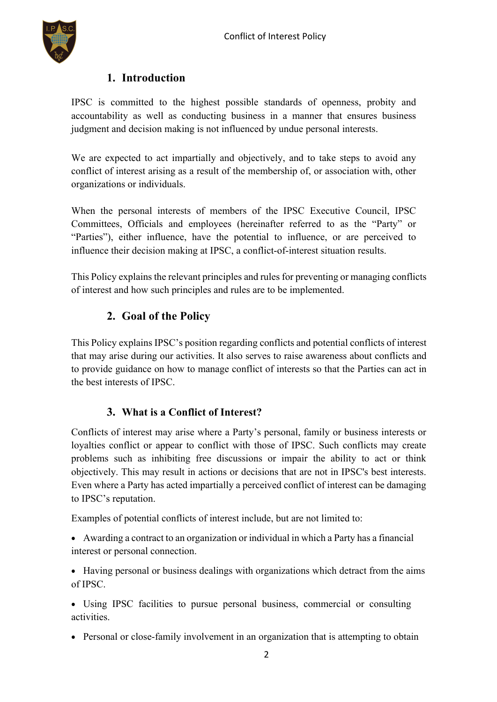

#### **1. Introduction**

IPSC is committed to the highest possible standards of openness, probity and accountability as well as conducting business in a manner that ensures business judgment and decision making is not influenced by undue personal interests.

We are expected to act impartially and objectively, and to take steps to avoid any conflict of interest arising as a result of the membership of, or association with, other organizations or individuals.

When the personal interests of members of the IPSC Executive Council, IPSC Committees, Officials and employees (hereinafter referred to as the "Party" or "Parties"), either influence, have the potential to influence, or are perceived to influence their decision making at IPSC, a conflict-of-interest situation results.

This Policy explains the relevant principles and rules for preventing or managing conflicts of interest and how such principles and rules are to be implemented.

# **2. Goal of the Policy**

This Policy explains IPSC's position regarding conflicts and potential conflicts of interest that may arise during our activities. It also serves to raise awareness about conflicts and to provide guidance on how to manage conflict of interests so that the Parties can act in the best interests of IPSC.

#### **3. What is a Conflict of Interest?**

Conflicts of interest may arise where a Party's personal, family or business interests or loyalties conflict or appear to conflict with those of IPSC. Such conflicts may create problems such as inhibiting free discussions or impair the ability to act or think objectively. This may result in actions or decisions that are not in IPSC's best interests. Even where a Party has acted impartially a perceived conflict of interest can be damaging to IPSC's reputation.

Examples of potential conflicts of interest include, but are not limited to:

• Awarding a contract to an organization or individual in which a Party has a financial interest or personal connection.

• Having personal or business dealings with organizations which detract from the aims of IPSC.

• Using IPSC facilities to pursue personal business, commercial or consulting activities.

• Personal or close-family involvement in an organization that is attempting to obtain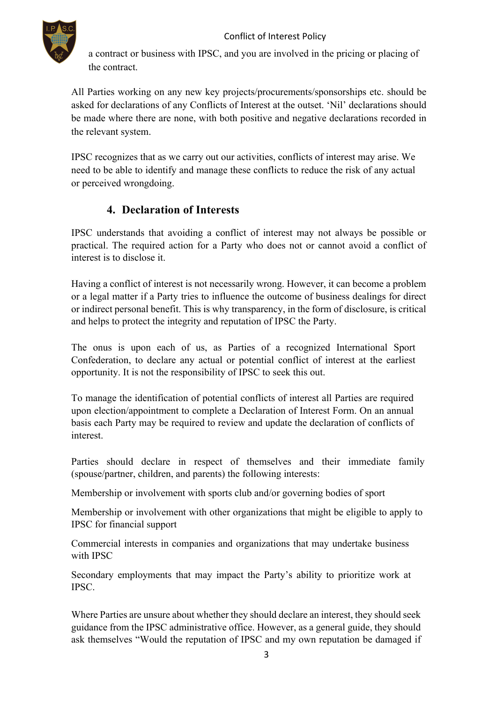#### Conflict of Interest Policy



a contract or business with IPSC, and you are involved in the pricing or placing of the contract.

All Parties working on any new key projects/procurements/sponsorships etc. should be asked for declarations of any Conflicts of Interest at the outset. 'Nil' declarations should be made where there are none, with both positive and negative declarations recorded in the relevant system.

IPSC recognizes that as we carry out our activities, conflicts of interest may arise. We need to be able to identify and manage these conflicts to reduce the risk of any actual or perceived wrongdoing.

### **4. Declaration of Interests**

IPSC understands that avoiding a conflict of interest may not always be possible or practical. The required action for a Party who does not or cannot avoid a conflict of interest is to disclose it.

Having a conflict of interest is not necessarily wrong. However, it can become a problem or a legal matter if a Party tries to influence the outcome of business dealings for direct or indirect personal benefit. This is why transparency, in the form of disclosure, is critical and helps to protect the integrity and reputation of IPSC the Party.

The onus is upon each of us, as Parties of a recognized International Sport Confederation, to declare any actual or potential conflict of interest at the earliest opportunity. It is not the responsibility of IPSC to seek this out.

To manage the identification of potential conflicts of interest all Parties are required upon election/appointment to complete a Declaration of Interest Form. On an annual basis each Party may be required to review and update the declaration of conflicts of interest.

Parties should declare in respect of themselves and their immediate family (spouse/partner, children, and parents) the following interests:

Membership or involvement with sports club and/or governing bodies of sport

Membership or involvement with other organizations that might be eligible to apply to IPSC for financial support

Commercial interests in companies and organizations that may undertake business with IPSC

Secondary employments that may impact the Party's ability to prioritize work at IPSC.

Where Parties are unsure about whether they should declare an interest, they should seek guidance from the IPSC administrative office. However, as a general guide, they should ask themselves "Would the reputation of IPSC and my own reputation be damaged if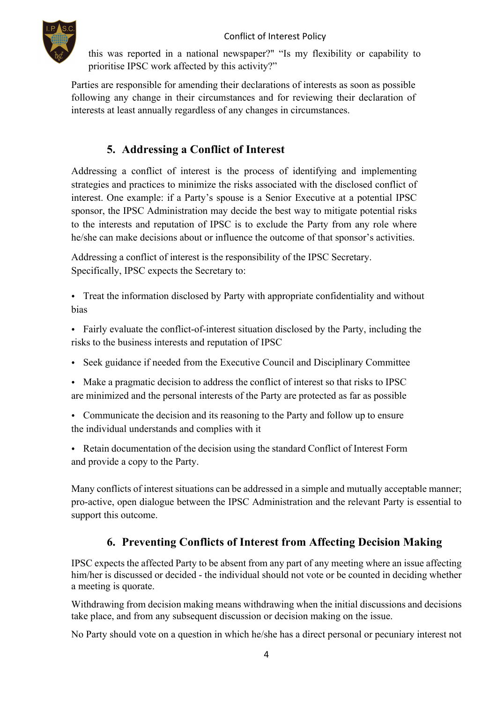

this was reported in a national newspaper?" "Is my flexibility or capability to prioritise IPSC work affected by this activity?"

Parties are responsible for amending their declarations of interests as soon as possible following any change in their circumstances and for reviewing their declaration of interests at least annually regardless of any changes in circumstances.

# **5. Addressing a Conflict of Interest**

Addressing a conflict of interest is the process of identifying and implementing strategies and practices to minimize the risks associated with the disclosed conflict of interest. One example: if a Party's spouse is a Senior Executive at a potential IPSC sponsor, the IPSC Administration may decide the best way to mitigate potential risks to the interests and reputation of IPSC is to exclude the Party from any role where he/she can make decisions about or influence the outcome of that sponsor's activities.

Addressing a conflict of interest is the responsibility of the IPSC Secretary. Specifically, IPSC expects the Secretary to:

- Treat the information disclosed by Party with appropriate confidentiality and without bias
- Fairly evaluate the conflict-of-interest situation disclosed by the Party, including the risks to the business interests and reputation of IPSC
- Seek guidance if needed from the Executive Council and Disciplinary Committee
- Make a pragmatic decision to address the conflict of interest so that risks to IPSC are minimized and the personal interests of the Party are protected as far as possible
- Communicate the decision and its reasoning to the Party and follow up to ensure the individual understands and complies with it
- Retain documentation of the decision using the standard Conflict of Interest Form and provide a copy to the Party.

Many conflicts of interest situations can be addressed in a simple and mutually acceptable manner; pro-active, open dialogue between the IPSC Administration and the relevant Party is essential to support this outcome.

# **6. Preventing Conflicts of Interest from Affecting Decision Making**

IPSC expects the affected Party to be absent from any part of any meeting where an issue affecting him/her is discussed or decided - the individual should not vote or be counted in deciding whether a meeting is quorate.

Withdrawing from decision making means withdrawing when the initial discussions and decisions take place, and from any subsequent discussion or decision making on the issue.

No Party should vote on a question in which he/she has a direct personal or pecuniary interest not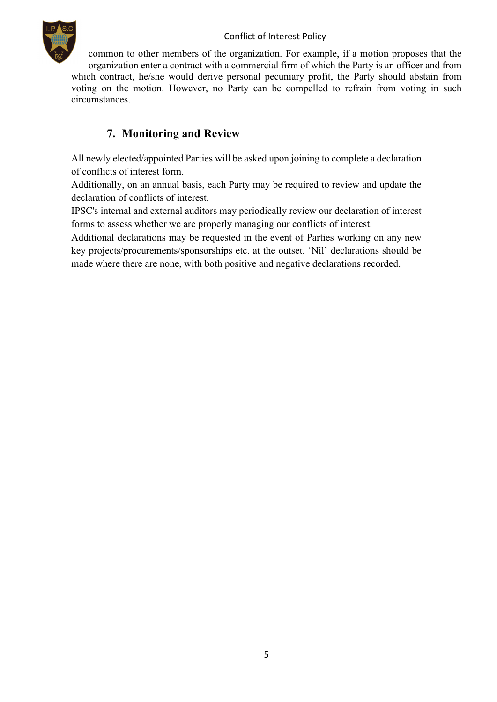#### Conflict of Interest Policy



common to other members of the organization. For example, if a motion proposes that the organization enter a contract with a commercial firm of which the Party is an officer and from which contract, he/she would derive personal pecuniary profit, the Party should abstain from voting on the motion. However, no Party can be compelled to refrain from voting in such circumstances.

# **7. Monitoring and Review**

All newly elected/appointed Parties will be asked upon joining to complete a declaration of conflicts of interest form.

Additionally, on an annual basis, each Party may be required to review and update the declaration of conflicts of interest.

IPSC's internal and external auditors may periodically review our declaration of interest forms to assess whether we are properly managing our conflicts of interest.

Additional declarations may be requested in the event of Parties working on any new key projects/procurements/sponsorships etc. at the outset. 'Nil' declarations should be made where there are none, with both positive and negative declarations recorded.